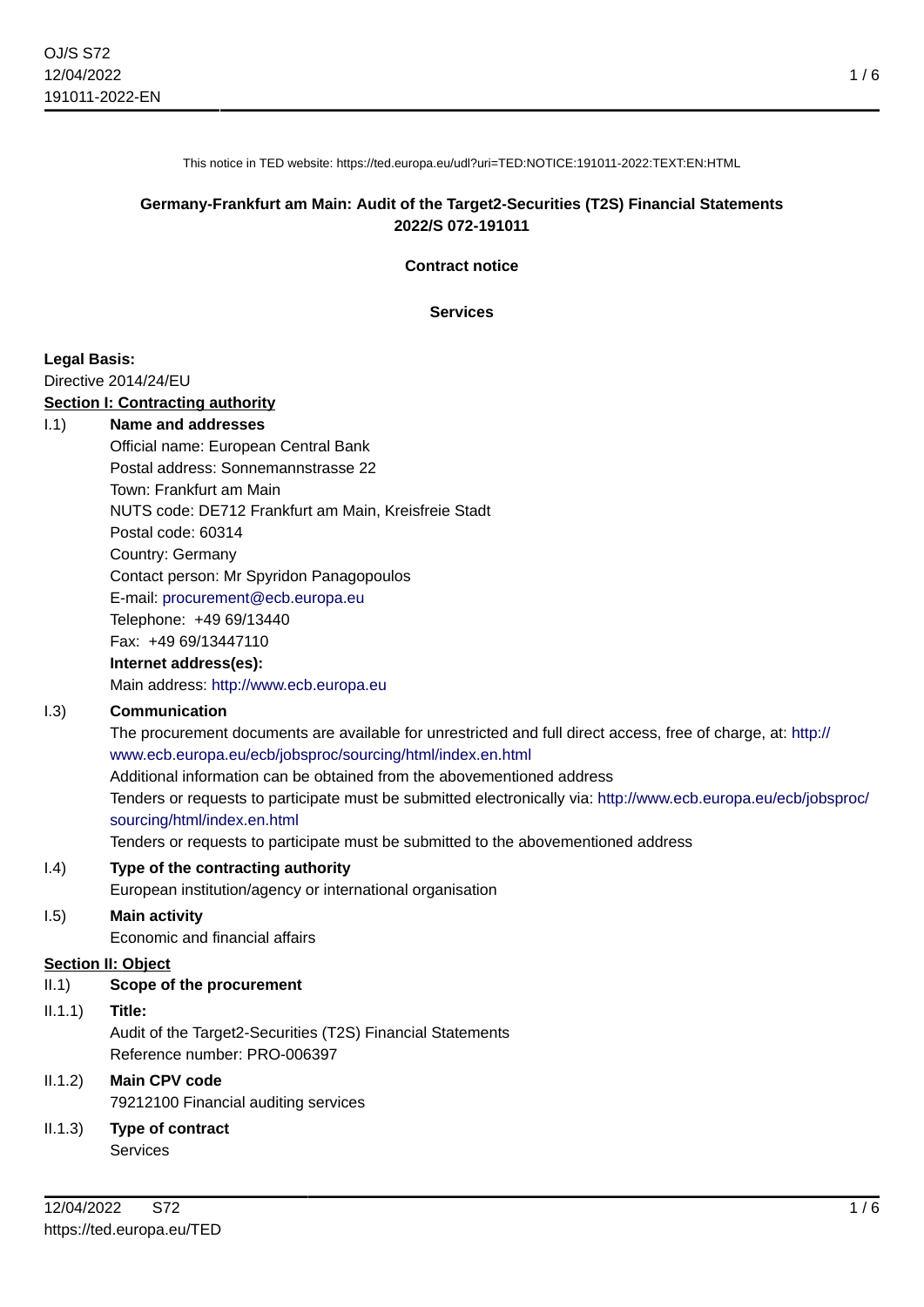This notice in TED website: https://ted.europa.eu/udl?uri=TED:NOTICE:191011-2022:TEXT:EN:HTML

#### **Germany-Frankfurt am Main: Audit of the Target2-Securities (T2S) Financial Statements 2022/S 072-191011**

**Contract notice**

**Services**

#### **Legal Basis:**

Directive 2014/24/EU

#### **Section I: Contracting authority**

#### I.1) **Name and addresses**

Official name: European Central Bank Postal address: Sonnemannstrasse 22 Town: Frankfurt am Main NUTS code: DE712 Frankfurt am Main, Kreisfreie Stadt Postal code: 60314 Country: Germany Contact person: Mr Spyridon Panagopoulos E-mail: [procurement@ecb.europa.eu](mailto:procurement@ecb.europa.eu) Telephone: +49 69/13440 Fax: +49 69/13447110

#### **Internet address(es):**

Main address:<http://www.ecb.europa.eu>

#### I.3) **Communication**

The procurement documents are available for unrestricted and full direct access, free of charge, at: [http://](http://www.ecb.europa.eu/ecb/jobsproc/sourcing/html/index.en.html) [www.ecb.europa.eu/ecb/jobsproc/sourcing/html/index.en.html](http://www.ecb.europa.eu/ecb/jobsproc/sourcing/html/index.en.html) Additional information can be obtained from the abovementioned address Tenders or requests to participate must be submitted electronically via: [http://www.ecb.europa.eu/ecb/jobsproc/](http://www.ecb.europa.eu/ecb/jobsproc/sourcing/html/index.en.html) [sourcing/html/index.en.html](http://www.ecb.europa.eu/ecb/jobsproc/sourcing/html/index.en.html)

Tenders or requests to participate must be submitted to the abovementioned address

#### I.4) **Type of the contracting authority**

European institution/agency or international organisation

## I.5) **Main activity**

Economic and financial affairs

## **Section II: Object**

## II.1) **Scope of the procurement**

## II.1.1) **Title:** Audit of the Target2-Securities (T2S) Financial Statements Reference number: PRO-006397

# II.1.2) **Main CPV code**

79212100 Financial auditing services

II.1.3) **Type of contract** Services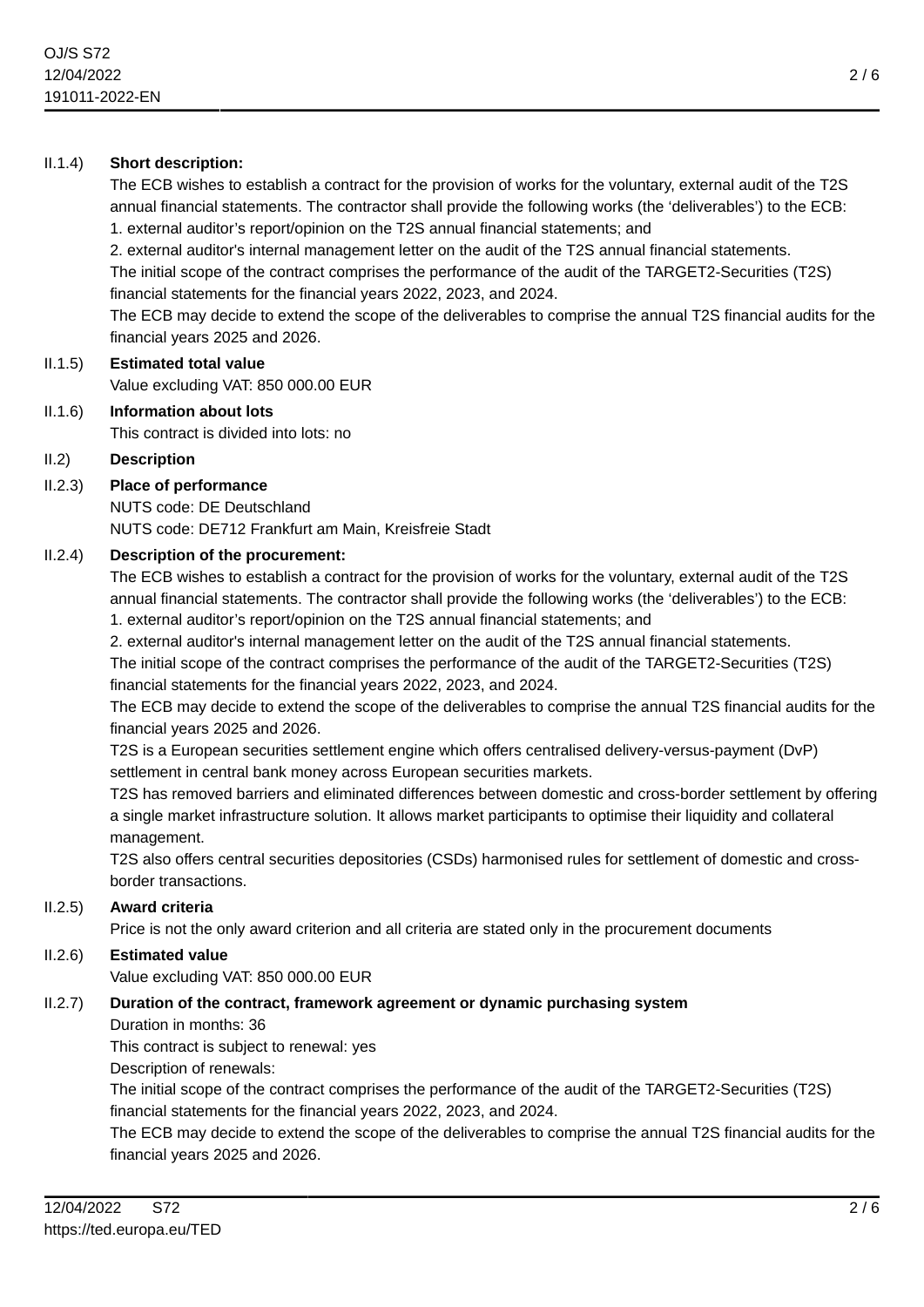#### II.1.4) **Short description:**

The ECB wishes to establish a contract for the provision of works for the voluntary, external audit of the T2S annual financial statements. The contractor shall provide the following works (the 'deliverables') to the ECB:

1. external auditor's report/opinion on the T2S annual financial statements; and

2. external auditor's internal management letter on the audit of the T2S annual financial statements.

The initial scope of the contract comprises the performance of the audit of the TARGET2-Securities (T2S) financial statements for the financial years 2022, 2023, and 2024.

The ECB may decide to extend the scope of the deliverables to comprise the annual T2S financial audits for the financial years 2025 and 2026.

# II.1.5) **Estimated total value**

Value excluding VAT: 850 000.00 EUR

# II.1.6) **Information about lots**

This contract is divided into lots: no

#### II.2) **Description**

## II.2.3) **Place of performance**

NUTS code: DE Deutschland NUTS code: DE712 Frankfurt am Main, Kreisfreie Stadt

#### II.2.4) **Description of the procurement:**

The ECB wishes to establish a contract for the provision of works for the voluntary, external audit of the T2S annual financial statements. The contractor shall provide the following works (the 'deliverables') to the ECB: 1. external auditor's report/opinion on the T2S annual financial statements; and

2. external auditor's internal management letter on the audit of the T2S annual financial statements.

The initial scope of the contract comprises the performance of the audit of the TARGET2-Securities (T2S) financial statements for the financial years 2022, 2023, and 2024.

The ECB may decide to extend the scope of the deliverables to comprise the annual T2S financial audits for the financial years 2025 and 2026.

T2S is a European securities settlement engine which offers centralised delivery-versus-payment (DvP) settlement in central bank money across European securities markets.

T2S has removed barriers and eliminated differences between domestic and cross-border settlement by offering a single market infrastructure solution. It allows market participants to optimise their liquidity and collateral management.

T2S also offers central securities depositories (CSDs) harmonised rules for settlement of domestic and crossborder transactions.

#### II.2.5) **Award criteria**

Price is not the only award criterion and all criteria are stated only in the procurement documents

#### II.2.6) **Estimated value**

Value excluding VAT: 850 000.00 EUR

## II.2.7) **Duration of the contract, framework agreement or dynamic purchasing system**

Duration in months: 36

This contract is subject to renewal: yes

Description of renewals:

The initial scope of the contract comprises the performance of the audit of the TARGET2-Securities (T2S) financial statements for the financial years 2022, 2023, and 2024.

The ECB may decide to extend the scope of the deliverables to comprise the annual T2S financial audits for the financial years 2025 and 2026.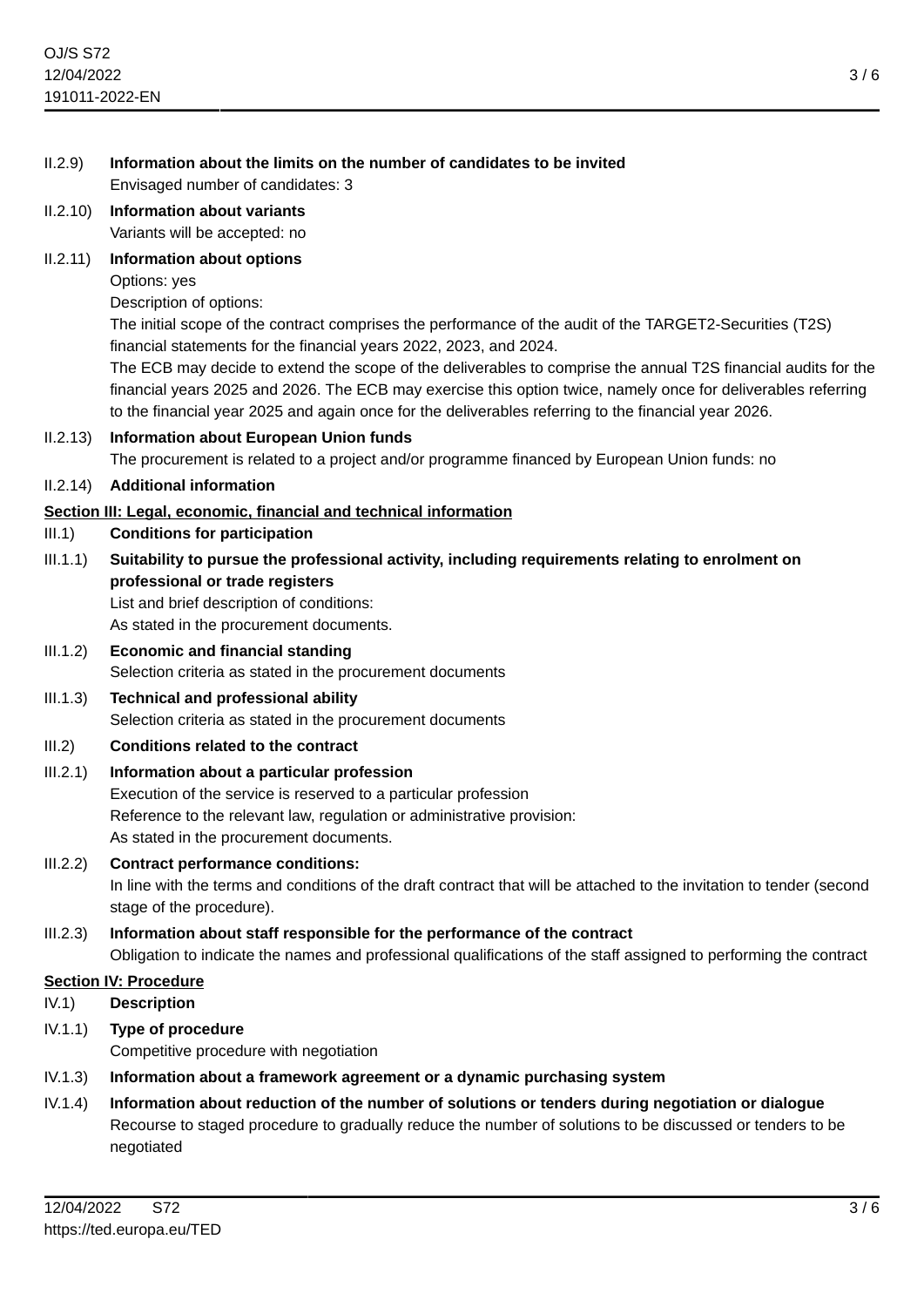- II.2.9) **Information about the limits on the number of candidates to be invited** Envisaged number of candidates: 3
- II.2.10) **Information about variants** Variants will be accepted: no

#### II.2.11) **Information about options**

Options: yes

Description of options:

The initial scope of the contract comprises the performance of the audit of the TARGET2-Securities (T2S) financial statements for the financial years 2022, 2023, and 2024.

The ECB may decide to extend the scope of the deliverables to comprise the annual T2S financial audits for the financial years 2025 and 2026. The ECB may exercise this option twice, namely once for deliverables referring to the financial year 2025 and again once for the deliverables referring to the financial year 2026.

II.2.13) **Information about European Union funds** The procurement is related to a project and/or programme financed by European Union funds: no

#### II.2.14) **Additional information**

#### **Section III: Legal, economic, financial and technical information**

- III.1) **Conditions for participation**
- III.1.1) **Suitability to pursue the professional activity, including requirements relating to enrolment on professional or trade registers**

List and brief description of conditions:

As stated in the procurement documents.

III.1.2) **Economic and financial standing** Selection criteria as stated in the procurement documents

## III.1.3) **Technical and professional ability**

Selection criteria as stated in the procurement documents

III.2) **Conditions related to the contract**

## III.2.1) **Information about a particular profession**

Execution of the service is reserved to a particular profession Reference to the relevant law, regulation or administrative provision: As stated in the procurement documents.

#### III.2.2) **Contract performance conditions:**

In line with the terms and conditions of the draft contract that will be attached to the invitation to tender (second stage of the procedure).

#### III.2.3) **Information about staff responsible for the performance of the contract** Obligation to indicate the names and professional qualifications of the staff assigned to performing the contract

#### **Section IV: Procedure**

- IV.1) **Description**
- IV.1.1) **Type of procedure** Competitive procedure with negotiation
- IV.1.3) **Information about a framework agreement or a dynamic purchasing system**
- IV.1.4) **Information about reduction of the number of solutions or tenders during negotiation or dialogue** Recourse to staged procedure to gradually reduce the number of solutions to be discussed or tenders to be negotiated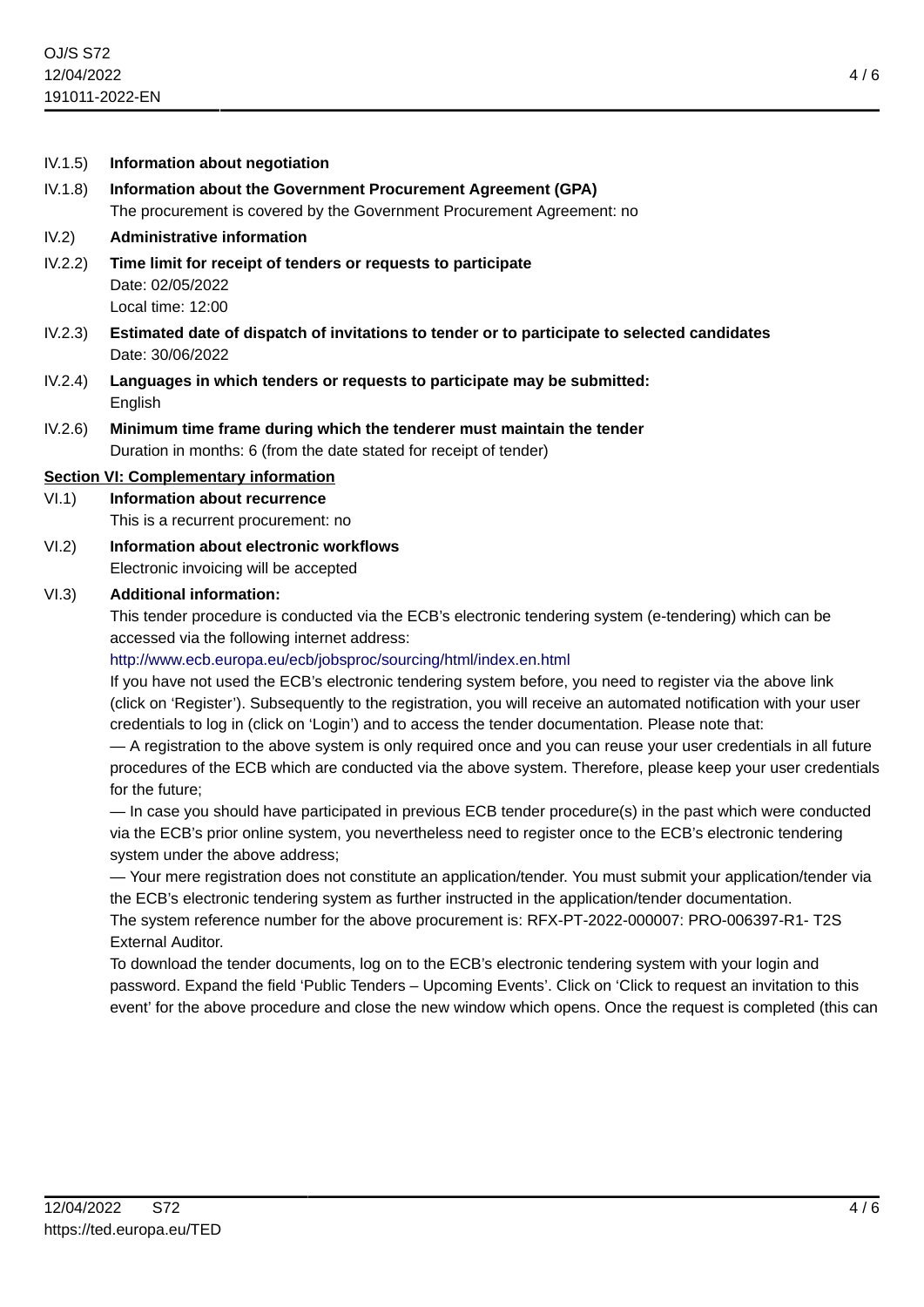- IV.1.5) **Information about negotiation**
- IV.1.8) **Information about the Government Procurement Agreement (GPA)** The procurement is covered by the Government Procurement Agreement: no

#### IV.2) **Administrative information**

- IV.2.2) **Time limit for receipt of tenders or requests to participate** Date: 02/05/2022 Local time: 12:00
- IV.2.3) **Estimated date of dispatch of invitations to tender or to participate to selected candidates** Date: 30/06/2022
- IV.2.4) **Languages in which tenders or requests to participate may be submitted:** English
- IV.2.6) **Minimum time frame during which the tenderer must maintain the tender** Duration in months: 6 (from the date stated for receipt of tender)

#### **Section VI: Complementary information**

- VI.1) **Information about recurrence** This is a recurrent procurement: no
- VI.2) **Information about electronic workflows** Electronic invoicing will be accepted

#### VI.3) **Additional information:**

This tender procedure is conducted via the ECB's electronic tendering system (e-tendering) which can be accessed via the following internet address:

#### <http://www.ecb.europa.eu/ecb/jobsproc/sourcing/html/index.en.html>

If you have not used the ECB's electronic tendering system before, you need to register via the above link (click on 'Register'). Subsequently to the registration, you will receive an automated notification with your user credentials to log in (click on 'Login') and to access the tender documentation. Please note that:

— A registration to the above system is only required once and you can reuse your user credentials in all future procedures of the ECB which are conducted via the above system. Therefore, please keep your user credentials for the future;

— In case you should have participated in previous ECB tender procedure(s) in the past which were conducted via the ECB's prior online system, you nevertheless need to register once to the ECB's electronic tendering system under the above address;

— Your mere registration does not constitute an application/tender. You must submit your application/tender via the ECB's electronic tendering system as further instructed in the application/tender documentation.

The system reference number for the above procurement is: RFX-PT-2022-000007: PRO-006397-R1- T2S External Auditor.

To download the tender documents, log on to the ECB's electronic tendering system with your login and password. Expand the field 'Public Tenders – Upcoming Events'. Click on 'Click to request an invitation to this event' for the above procedure and close the new window which opens. Once the request is completed (this can

4 / 6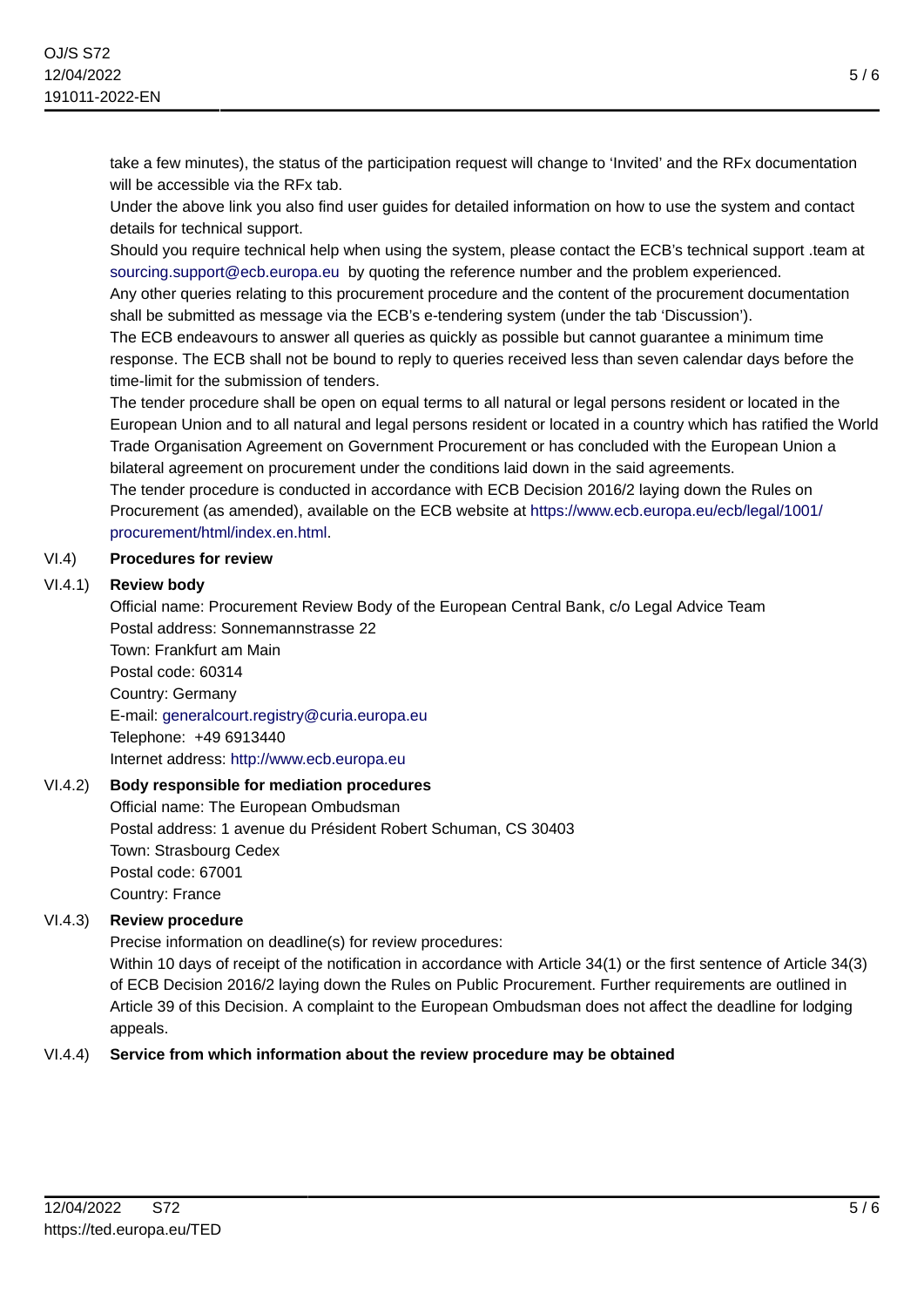take a few minutes), the status of the participation request will change to 'Invited' and the RFx documentation will be accessible via the RFx tab.

Under the above link you also find user guides for detailed information on how to use the system and contact details for technical support.

Should you require technical help when using the system, please contact the ECB's technical support .team at [sourcing.support@ecb.europa.eu](mailto:sourcing.support@ecb.europa.eu) by quoting the reference number and the problem experienced.

Any other queries relating to this procurement procedure and the content of the procurement documentation shall be submitted as message via the ECB's e-tendering system (under the tab 'Discussion').

The ECB endeavours to answer all queries as quickly as possible but cannot guarantee a minimum time response. The ECB shall not be bound to reply to queries received less than seven calendar days before the time-limit for the submission of tenders.

The tender procedure shall be open on equal terms to all natural or legal persons resident or located in the European Union and to all natural and legal persons resident or located in a country which has ratified the World Trade Organisation Agreement on Government Procurement or has concluded with the European Union a bilateral agreement on procurement under the conditions laid down in the said agreements. The tender procedure is conducted in accordance with ECB Decision 2016/2 laying down the Rules on Procurement (as amended), available on the ECB website at [https://www.ecb.europa.eu/ecb/legal/1001/](https://www.ecb.europa.eu/ecb/legal/1001/procurement/html/index.en.html) [procurement/html/index.en.html.](https://www.ecb.europa.eu/ecb/legal/1001/procurement/html/index.en.html)

#### VI.4) **Procedures for review**

#### VI.4.1) **Review body**

Official name: Procurement Review Body of the European Central Bank, c/o Legal Advice Team Postal address: Sonnemannstrasse 22

Town: Frankfurt am Main Postal code: 60314 Country: Germany E-mail: [generalcourt.registry@curia.europa.eu](mailto:generalcourt.registry@curia.europa.eu) Telephone: +49 6913440 Internet address: <http://www.ecb.europa.eu>

#### VI.4.2) **Body responsible for mediation procedures**

Official name: The European Ombudsman Postal address: 1 avenue du Président Robert Schuman, CS 30403 Town: Strasbourg Cedex Postal code: 67001 Country: France

## VI.4.3) **Review procedure**

Precise information on deadline(s) for review procedures:

Within 10 days of receipt of the notification in accordance with Article 34(1) or the first sentence of Article 34(3) of ECB Decision 2016/2 laying down the Rules on Public Procurement. Further requirements are outlined in Article 39 of this Decision. A complaint to the European Ombudsman does not affect the deadline for lodging appeals.

## VI.4.4) **Service from which information about the review procedure may be obtained**